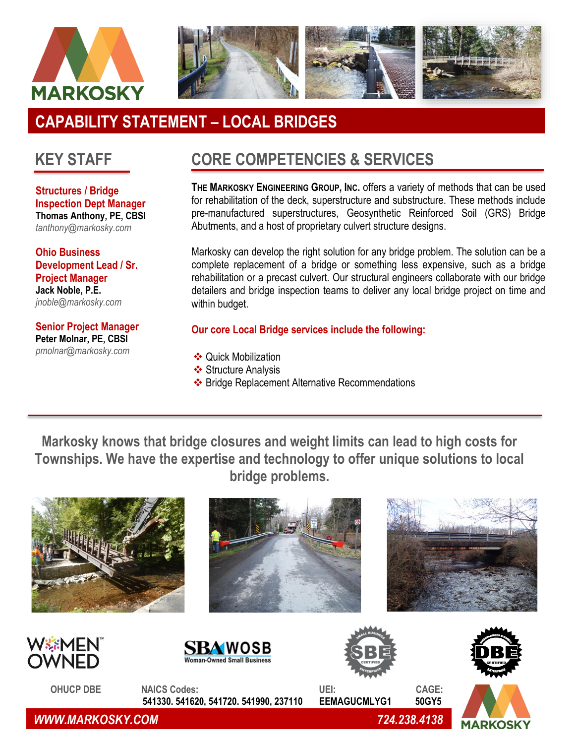



# **CAPABILITY STATEMENT – LOCAL BRIDGES**

## **KEY STAFF**

**Structures / Bridge Inspection Dept Manager Thomas Anthony, PE, CBSI** *tanthony@markosky.com*

**Ohio Business Development Lead / Sr. Project Manager Jack Noble, P.E.** *[jnoble@markosky.com](mailto:jnoble@markosky.com)*

**Senior Project Manager Peter Molnar, PE, CBSI**  *pmolnar@markosky.com*

## **CORE COMPETENCIES & SERVICES**

**THE MARKOSKY ENGINEERING GROUP, INC.** offers a variety of methods that can be used for rehabilitation of the deck, superstructure and substructure. These methods include pre-manufactured superstructures, Geosynthetic Reinforced Soil (GRS) Bridge Abutments, and a host of proprietary culvert structure designs.

Markosky can develop the right solution for any bridge problem. The solution can be a complete replacement of a bridge or something less expensive, such as a bridge rehabilitation or a precast culvert. Our structural engineers collaborate with our bridge detailers and bridge inspection teams to deliver any local bridge project on time and within budget.

#### **Our core Local Bridge services include the following:**

- ❖ Quick Mobilization
- ❖ Structure Analysis
- ❖ Bridge Replacement Alternative Recommendations

**Markosky knows that bridge closures and weight limits can lead to high costs for Townships. We have the expertise and technology to offer unique solutions to local bridge problems.** 



 *WWW.MARKOSKY.COM 724.238.4138*

**MARKOSKY**